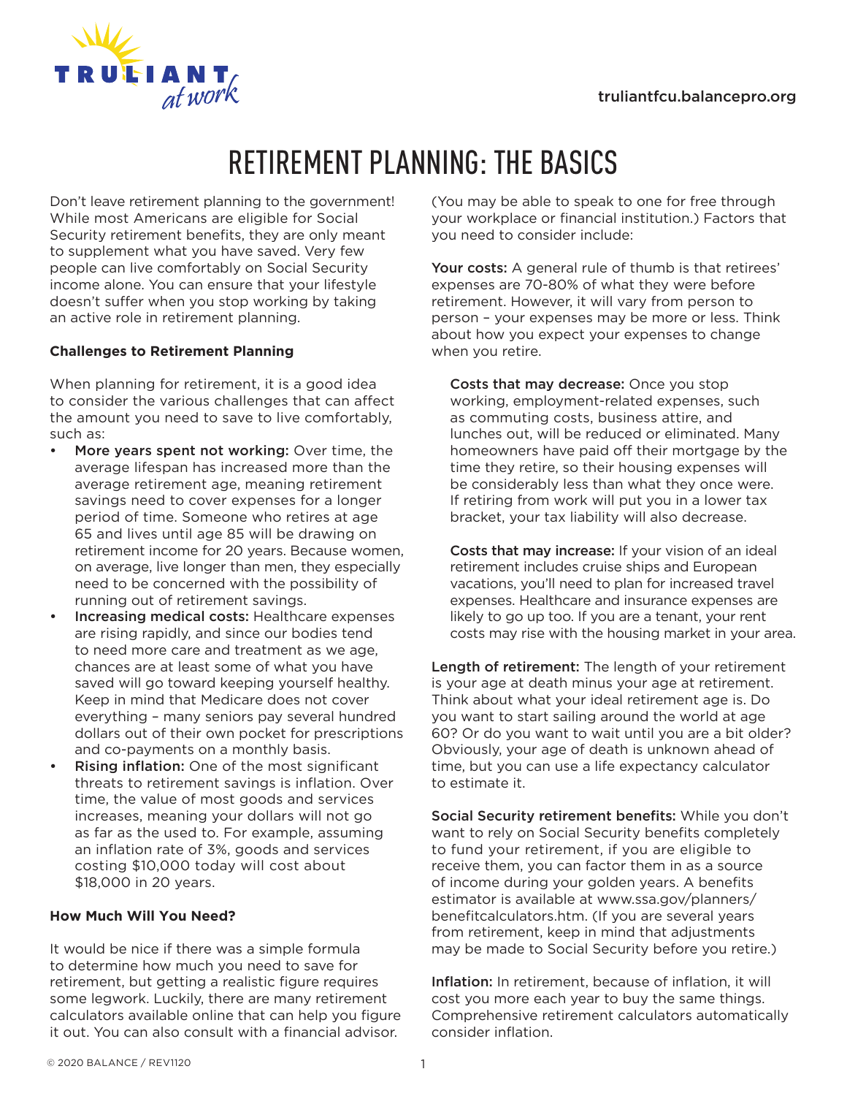

# RETIREMENT PLANNING: THE BASICS

Don't leave retirement planning to the government! While most Americans are eligible for Social Security retirement benefits, they are only meant to supplement what you have saved. Very few people can live comfortably on Social Security income alone. You can ensure that your lifestyle doesn't suffer when you stop working by taking an active role in retirement planning.

# **Challenges to Retirement Planning**

When planning for retirement, it is a good idea to consider the various challenges that can affect the amount you need to save to live comfortably, such as:

- More years spent not working: Over time, the average lifespan has increased more than the average retirement age, meaning retirement savings need to cover expenses for a longer period of time. Someone who retires at age 65 and lives until age 85 will be drawing on retirement income for 20 years. Because women, on average, live longer than men, they especially need to be concerned with the possibility of running out of retirement savings.
- Increasing medical costs: Healthcare expenses are rising rapidly, and since our bodies tend to need more care and treatment as we age, chances are at least some of what you have saved will go toward keeping yourself healthy. Keep in mind that Medicare does not cover everything – many seniors pay several hundred dollars out of their own pocket for prescriptions and co-payments on a monthly basis.
- Rising inflation: One of the most significant threats to retirement savings is inflation. Over time, the value of most goods and services increases, meaning your dollars will not go as far as the used to. For example, assuming an inflation rate of 3%, goods and services costing \$10,000 today will cost about \$18,000 in 20 years.

## **How Much Will You Need?**

It would be nice if there was a simple formula to determine how much you need to save for retirement, but getting a realistic figure requires some legwork. Luckily, there are many retirement calculators available online that can help you figure it out. You can also consult with a financial advisor.

(You may be able to speak to one for free through your workplace or financial institution.) Factors that you need to consider include:

Your costs: A general rule of thumb is that retirees' expenses are 70-80% of what they were before retirement. However, it will vary from person to person – your expenses may be more or less. Think about how you expect your expenses to change when you retire.

Costs that may decrease: Once you stop working, employment-related expenses, such as commuting costs, business attire, and lunches out, will be reduced or eliminated. Many homeowners have paid off their mortgage by the time they retire, so their housing expenses will be considerably less than what they once were. If retiring from work will put you in a lower tax bracket, your tax liability will also decrease.

Costs that may increase: If your vision of an ideal retirement includes cruise ships and European vacations, you'll need to plan for increased travel expenses. Healthcare and insurance expenses are likely to go up too. If you are a tenant, your rent costs may rise with the housing market in your area.

Length of retirement: The length of your retirement is your age at death minus your age at retirement. Think about what your ideal retirement age is. Do you want to start sailing around the world at age 60? Or do you want to wait until you are a bit older? Obviously, your age of death is unknown ahead of time, but you can use a life expectancy calculator to estimate it.

Social Security retirement benefits: While you don't want to rely on Social Security benefits completely to fund your retirement, if you are eligible to receive them, you can factor them in as a source of income during your golden years. A benefits estimator is available at www.ssa.gov/planners/ benefitcalculators.htm. (If you are several years from retirement, keep in mind that adjustments may be made to Social Security before you retire.)

Inflation: In retirement, because of inflation, it will cost you more each year to buy the same things. Comprehensive retirement calculators automatically consider inflation.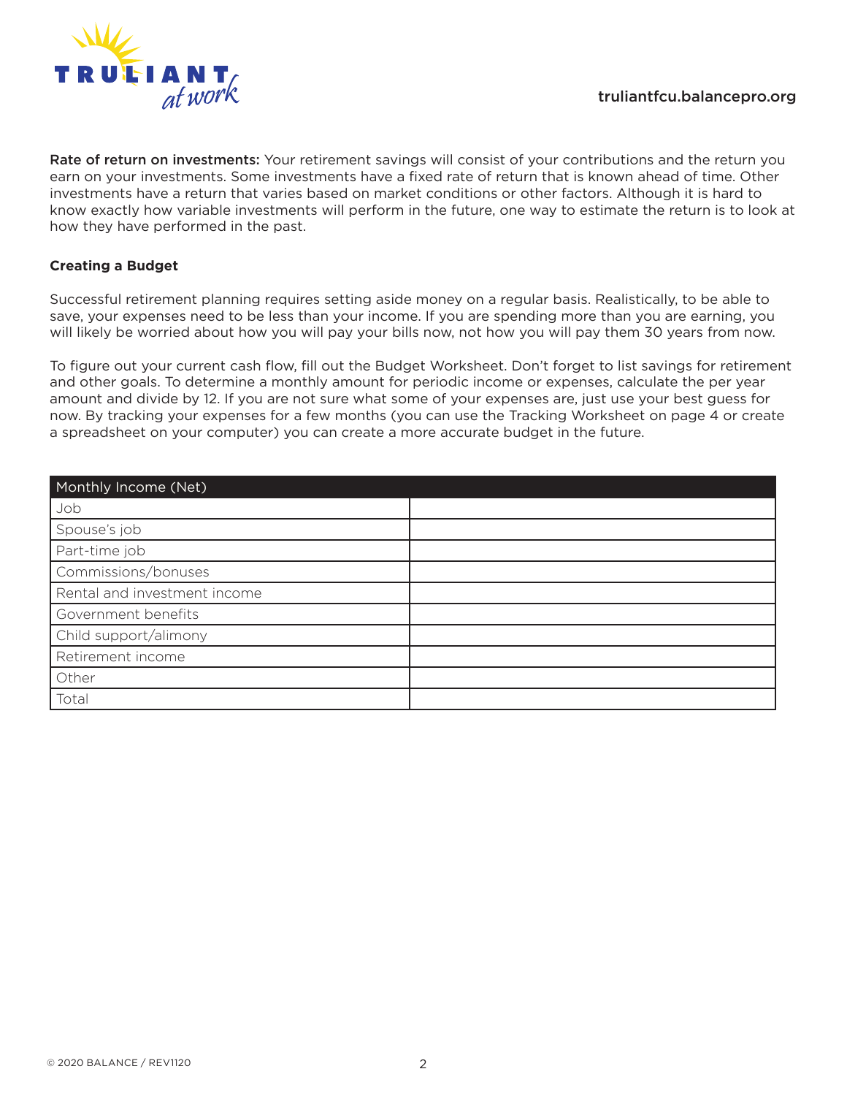

Rate of return on investments: Your retirement savings will consist of your contributions and the return you earn on your investments. Some investments have a fixed rate of return that is known ahead of time. Other investments have a return that varies based on market conditions or other factors. Although it is hard to know exactly how variable investments will perform in the future, one way to estimate the return is to look at how they have performed in the past.

## **Creating a Budget**

Successful retirement planning requires setting aside money on a regular basis. Realistically, to be able to save, your expenses need to be less than your income. If you are spending more than you are earning, you will likely be worried about how you will pay your bills now, not how you will pay them 30 years from now.

To figure out your current cash flow, fill out the Budget Worksheet. Don't forget to list savings for retirement and other goals. To determine a monthly amount for periodic income or expenses, calculate the per year amount and divide by 12. If you are not sure what some of your expenses are, just use your best guess for now. By tracking your expenses for a few months (you can use the Tracking Worksheet on page 4 or create a spreadsheet on your computer) you can create a more accurate budget in the future.

| Monthly Income (Net)         |  |
|------------------------------|--|
| Job                          |  |
| Spouse's job                 |  |
| Part-time job                |  |
| Commissions/bonuses          |  |
| Rental and investment income |  |
| Government benefits          |  |
| Child support/alimony        |  |
| Retirement income            |  |
| Other                        |  |
| Total                        |  |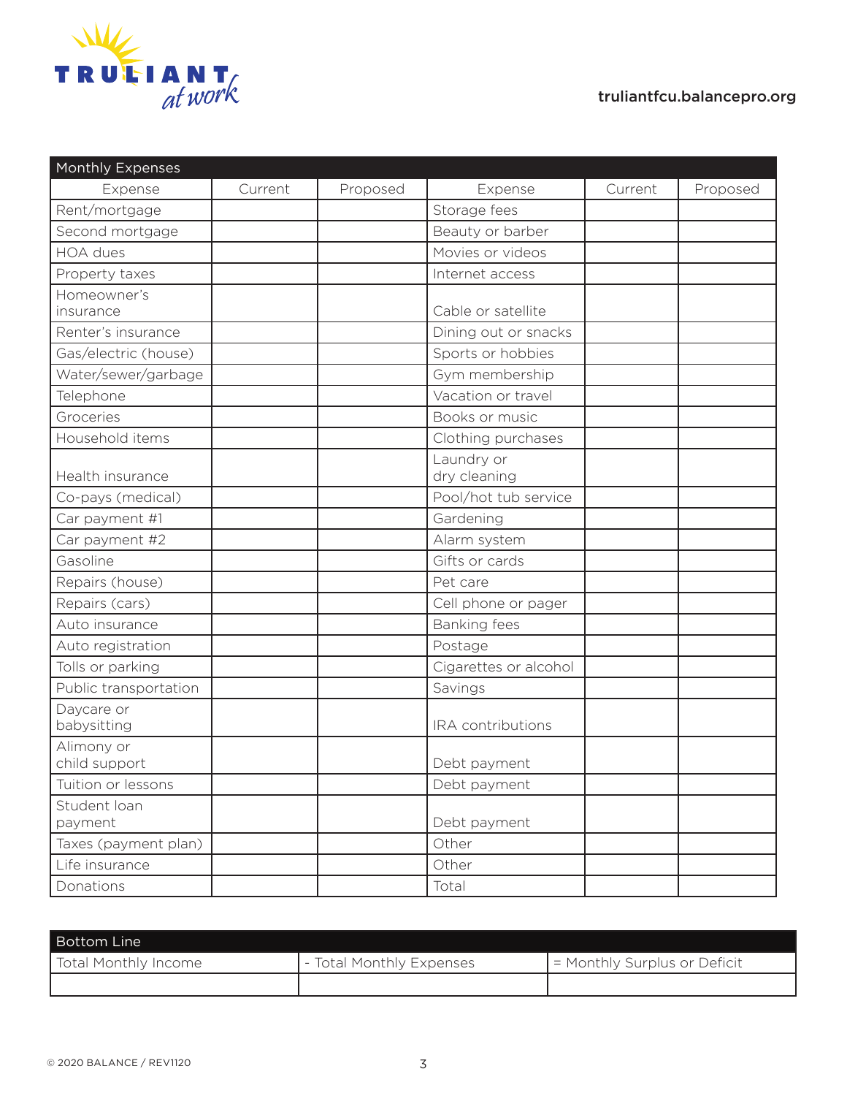

| Expense<br>Current<br>Proposed<br>Expense<br>Current<br>Proposed<br>Storage fees<br>Rent/mortgage<br>Second mortgage<br>Beauty or barber<br><b>HOA</b> dues<br>Movies or videos<br>Internet access<br>Property taxes<br>Homeowner's<br>Cable or satellite<br>insurance<br>Renter's insurance<br>Dining out or snacks<br>Gas/electric (house)<br>Sports or hobbies<br>Water/sewer/garbage<br>Gym membership<br>Vacation or travel<br>Telephone<br>Groceries<br>Books or music<br>Household items<br>Clothing purchases<br>Laundry or<br>Health insurance<br>dry cleaning<br>Pool/hot tub service<br>Co-pays (medical)<br>Car payment #1<br>Gardening<br>Car payment #2<br>Alarm system<br>Gifts or cards<br>Gasoline<br>Repairs (house)<br>Pet care<br>Repairs (cars)<br>Cell phone or pager<br>Auto insurance<br><b>Banking fees</b><br>Auto registration<br>Postage<br>Tolls or parking<br>Cigarettes or alcohol<br>Public transportation<br>Savings<br>Daycare or<br>babysitting<br>IRA contributions<br>Alimony or<br>child support<br>Debt payment<br>Tuition or lessons<br>Debt payment<br>Student loan<br>Debt payment<br>payment<br>Taxes (payment plan)<br>Other<br>Other<br>Life insurance<br>Donations<br>Total | <b>Monthly Expenses</b> |  |  |  |
|---------------------------------------------------------------------------------------------------------------------------------------------------------------------------------------------------------------------------------------------------------------------------------------------------------------------------------------------------------------------------------------------------------------------------------------------------------------------------------------------------------------------------------------------------------------------------------------------------------------------------------------------------------------------------------------------------------------------------------------------------------------------------------------------------------------------------------------------------------------------------------------------------------------------------------------------------------------------------------------------------------------------------------------------------------------------------------------------------------------------------------------------------------------------------------------------------------------------------|-------------------------|--|--|--|
|                                                                                                                                                                                                                                                                                                                                                                                                                                                                                                                                                                                                                                                                                                                                                                                                                                                                                                                                                                                                                                                                                                                                                                                                                           |                         |  |  |  |
|                                                                                                                                                                                                                                                                                                                                                                                                                                                                                                                                                                                                                                                                                                                                                                                                                                                                                                                                                                                                                                                                                                                                                                                                                           |                         |  |  |  |
|                                                                                                                                                                                                                                                                                                                                                                                                                                                                                                                                                                                                                                                                                                                                                                                                                                                                                                                                                                                                                                                                                                                                                                                                                           |                         |  |  |  |
|                                                                                                                                                                                                                                                                                                                                                                                                                                                                                                                                                                                                                                                                                                                                                                                                                                                                                                                                                                                                                                                                                                                                                                                                                           |                         |  |  |  |
|                                                                                                                                                                                                                                                                                                                                                                                                                                                                                                                                                                                                                                                                                                                                                                                                                                                                                                                                                                                                                                                                                                                                                                                                                           |                         |  |  |  |
|                                                                                                                                                                                                                                                                                                                                                                                                                                                                                                                                                                                                                                                                                                                                                                                                                                                                                                                                                                                                                                                                                                                                                                                                                           |                         |  |  |  |
|                                                                                                                                                                                                                                                                                                                                                                                                                                                                                                                                                                                                                                                                                                                                                                                                                                                                                                                                                                                                                                                                                                                                                                                                                           |                         |  |  |  |
|                                                                                                                                                                                                                                                                                                                                                                                                                                                                                                                                                                                                                                                                                                                                                                                                                                                                                                                                                                                                                                                                                                                                                                                                                           |                         |  |  |  |
|                                                                                                                                                                                                                                                                                                                                                                                                                                                                                                                                                                                                                                                                                                                                                                                                                                                                                                                                                                                                                                                                                                                                                                                                                           |                         |  |  |  |
|                                                                                                                                                                                                                                                                                                                                                                                                                                                                                                                                                                                                                                                                                                                                                                                                                                                                                                                                                                                                                                                                                                                                                                                                                           |                         |  |  |  |
|                                                                                                                                                                                                                                                                                                                                                                                                                                                                                                                                                                                                                                                                                                                                                                                                                                                                                                                                                                                                                                                                                                                                                                                                                           |                         |  |  |  |
|                                                                                                                                                                                                                                                                                                                                                                                                                                                                                                                                                                                                                                                                                                                                                                                                                                                                                                                                                                                                                                                                                                                                                                                                                           |                         |  |  |  |
|                                                                                                                                                                                                                                                                                                                                                                                                                                                                                                                                                                                                                                                                                                                                                                                                                                                                                                                                                                                                                                                                                                                                                                                                                           |                         |  |  |  |
|                                                                                                                                                                                                                                                                                                                                                                                                                                                                                                                                                                                                                                                                                                                                                                                                                                                                                                                                                                                                                                                                                                                                                                                                                           |                         |  |  |  |
|                                                                                                                                                                                                                                                                                                                                                                                                                                                                                                                                                                                                                                                                                                                                                                                                                                                                                                                                                                                                                                                                                                                                                                                                                           |                         |  |  |  |
|                                                                                                                                                                                                                                                                                                                                                                                                                                                                                                                                                                                                                                                                                                                                                                                                                                                                                                                                                                                                                                                                                                                                                                                                                           |                         |  |  |  |
|                                                                                                                                                                                                                                                                                                                                                                                                                                                                                                                                                                                                                                                                                                                                                                                                                                                                                                                                                                                                                                                                                                                                                                                                                           |                         |  |  |  |
|                                                                                                                                                                                                                                                                                                                                                                                                                                                                                                                                                                                                                                                                                                                                                                                                                                                                                                                                                                                                                                                                                                                                                                                                                           |                         |  |  |  |
|                                                                                                                                                                                                                                                                                                                                                                                                                                                                                                                                                                                                                                                                                                                                                                                                                                                                                                                                                                                                                                                                                                                                                                                                                           |                         |  |  |  |
|                                                                                                                                                                                                                                                                                                                                                                                                                                                                                                                                                                                                                                                                                                                                                                                                                                                                                                                                                                                                                                                                                                                                                                                                                           |                         |  |  |  |
|                                                                                                                                                                                                                                                                                                                                                                                                                                                                                                                                                                                                                                                                                                                                                                                                                                                                                                                                                                                                                                                                                                                                                                                                                           |                         |  |  |  |
|                                                                                                                                                                                                                                                                                                                                                                                                                                                                                                                                                                                                                                                                                                                                                                                                                                                                                                                                                                                                                                                                                                                                                                                                                           |                         |  |  |  |
|                                                                                                                                                                                                                                                                                                                                                                                                                                                                                                                                                                                                                                                                                                                                                                                                                                                                                                                                                                                                                                                                                                                                                                                                                           |                         |  |  |  |
|                                                                                                                                                                                                                                                                                                                                                                                                                                                                                                                                                                                                                                                                                                                                                                                                                                                                                                                                                                                                                                                                                                                                                                                                                           |                         |  |  |  |
|                                                                                                                                                                                                                                                                                                                                                                                                                                                                                                                                                                                                                                                                                                                                                                                                                                                                                                                                                                                                                                                                                                                                                                                                                           |                         |  |  |  |
|                                                                                                                                                                                                                                                                                                                                                                                                                                                                                                                                                                                                                                                                                                                                                                                                                                                                                                                                                                                                                                                                                                                                                                                                                           |                         |  |  |  |
|                                                                                                                                                                                                                                                                                                                                                                                                                                                                                                                                                                                                                                                                                                                                                                                                                                                                                                                                                                                                                                                                                                                                                                                                                           |                         |  |  |  |
|                                                                                                                                                                                                                                                                                                                                                                                                                                                                                                                                                                                                                                                                                                                                                                                                                                                                                                                                                                                                                                                                                                                                                                                                                           |                         |  |  |  |
|                                                                                                                                                                                                                                                                                                                                                                                                                                                                                                                                                                                                                                                                                                                                                                                                                                                                                                                                                                                                                                                                                                                                                                                                                           |                         |  |  |  |
|                                                                                                                                                                                                                                                                                                                                                                                                                                                                                                                                                                                                                                                                                                                                                                                                                                                                                                                                                                                                                                                                                                                                                                                                                           |                         |  |  |  |
|                                                                                                                                                                                                                                                                                                                                                                                                                                                                                                                                                                                                                                                                                                                                                                                                                                                                                                                                                                                                                                                                                                                                                                                                                           |                         |  |  |  |
|                                                                                                                                                                                                                                                                                                                                                                                                                                                                                                                                                                                                                                                                                                                                                                                                                                                                                                                                                                                                                                                                                                                                                                                                                           |                         |  |  |  |
|                                                                                                                                                                                                                                                                                                                                                                                                                                                                                                                                                                                                                                                                                                                                                                                                                                                                                                                                                                                                                                                                                                                                                                                                                           |                         |  |  |  |
|                                                                                                                                                                                                                                                                                                                                                                                                                                                                                                                                                                                                                                                                                                                                                                                                                                                                                                                                                                                                                                                                                                                                                                                                                           |                         |  |  |  |

| l Bottom Line '             |                          |                              |
|-----------------------------|--------------------------|------------------------------|
| <b>Total Monthly Income</b> | - Total Monthly Expenses | - Monthly Surplus or Deficit |
|                             |                          |                              |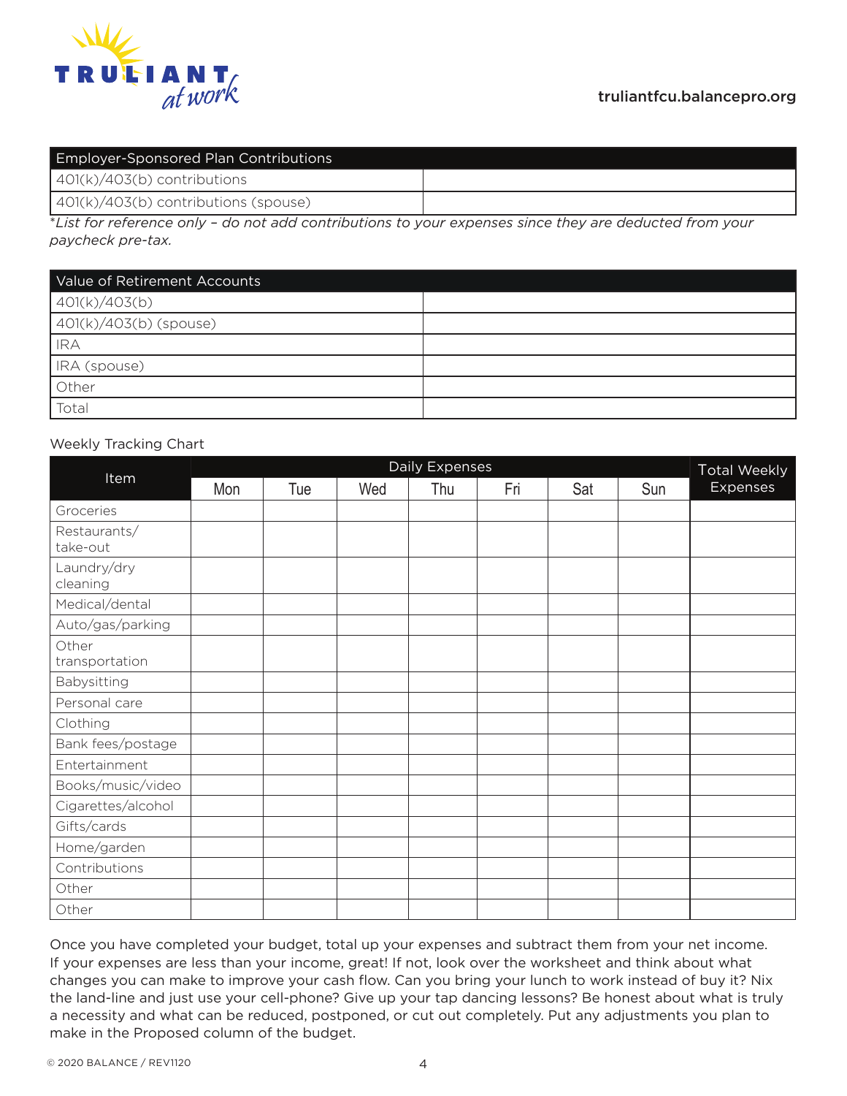

| <b>Employer-Sponsored Plan Contributions</b> |  |  |  |  |
|----------------------------------------------|--|--|--|--|
| $401(k)/403(b)$ contributions                |  |  |  |  |
| $(401(k)/403(b)$ contributions (spouse)      |  |  |  |  |

\**List for reference only – do not add contributions to your expenses since they are deducted from your paycheck pre-tax.*

| Value of Retirement Accounts |  |  |  |  |  |
|------------------------------|--|--|--|--|--|
| 401(k)/403(b)                |  |  |  |  |  |
| $401(k)/403(b)$ (spouse)     |  |  |  |  |  |
| <b>IRA</b>                   |  |  |  |  |  |
| IRA (spouse)                 |  |  |  |  |  |
| Other                        |  |  |  |  |  |
| Total                        |  |  |  |  |  |

## Weekly Tracking Chart

|                          | Daily Expenses |     |     |     |     | <b>Total Weekly</b> |     |                 |
|--------------------------|----------------|-----|-----|-----|-----|---------------------|-----|-----------------|
| Item                     | Mon            | Tue | Wed | Thu | Fri | Sat                 | Sun | <b>Expenses</b> |
| Groceries                |                |     |     |     |     |                     |     |                 |
| Restaurants/<br>take-out |                |     |     |     |     |                     |     |                 |
| Laundry/dry<br>cleaning  |                |     |     |     |     |                     |     |                 |
| Medical/dental           |                |     |     |     |     |                     |     |                 |
| Auto/gas/parking         |                |     |     |     |     |                     |     |                 |
| Other<br>transportation  |                |     |     |     |     |                     |     |                 |
| Babysitting              |                |     |     |     |     |                     |     |                 |
| Personal care            |                |     |     |     |     |                     |     |                 |
| Clothing                 |                |     |     |     |     |                     |     |                 |
| Bank fees/postage        |                |     |     |     |     |                     |     |                 |
| Entertainment            |                |     |     |     |     |                     |     |                 |
| Books/music/video        |                |     |     |     |     |                     |     |                 |
| Cigarettes/alcohol       |                |     |     |     |     |                     |     |                 |
| Gifts/cards              |                |     |     |     |     |                     |     |                 |
| Home/garden              |                |     |     |     |     |                     |     |                 |
| Contributions            |                |     |     |     |     |                     |     |                 |
| Other                    |                |     |     |     |     |                     |     |                 |
| Other                    |                |     |     |     |     |                     |     |                 |

Once you have completed your budget, total up your expenses and subtract them from your net income. If your expenses are less than your income, great! If not, look over the worksheet and think about what changes you can make to improve your cash flow. Can you bring your lunch to work instead of buy it? Nix the land-line and just use your cell-phone? Give up your tap dancing lessons? Be honest about what is truly a necessity and what can be reduced, postponed, or cut out completely. Put any adjustments you plan to make in the Proposed column of the budget.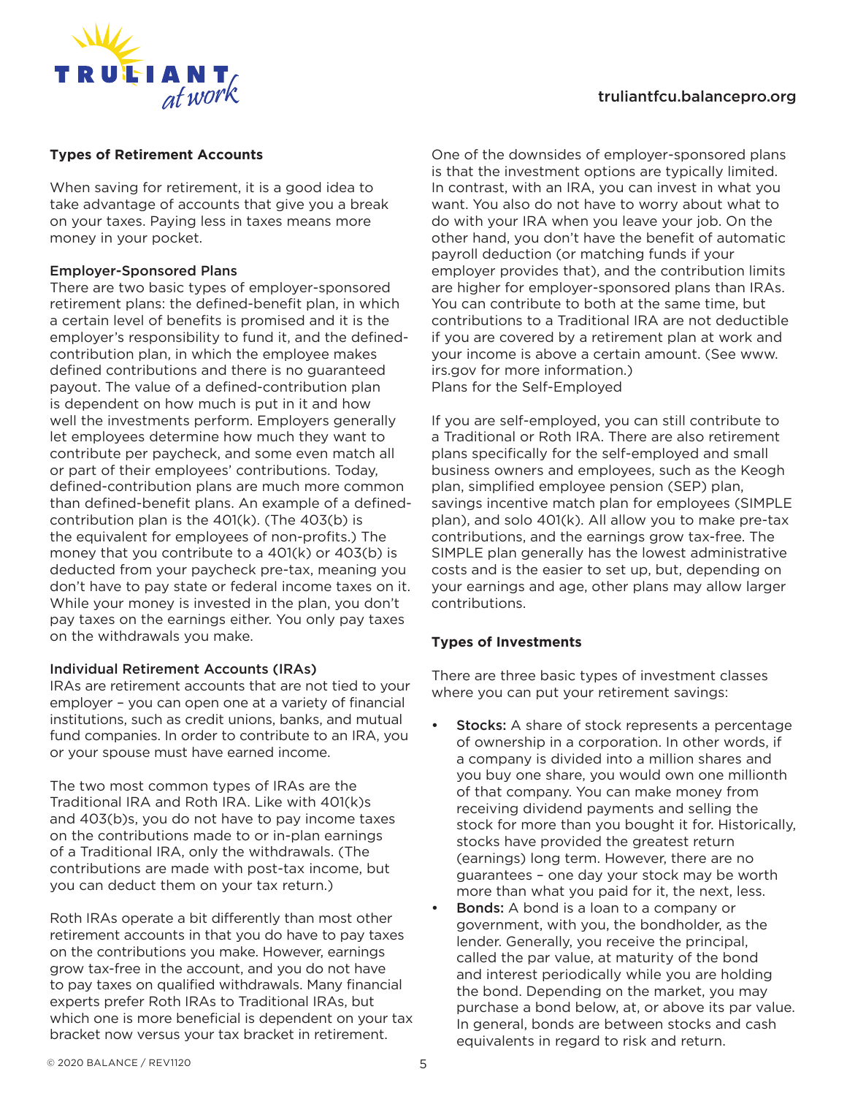

# truliantfcu.balancepro.org

#### **Types of Retirement Accounts**

When saving for retirement, it is a good idea to take advantage of accounts that give you a break on your taxes. Paying less in taxes means more money in your pocket.

#### Employer-Sponsored Plans

There are two basic types of employer-sponsored retirement plans: the defined-benefit plan, in which a certain level of benefits is promised and it is the employer's responsibility to fund it, and the definedcontribution plan, in which the employee makes defined contributions and there is no guaranteed payout. The value of a defined-contribution plan is dependent on how much is put in it and how well the investments perform. Employers generally let employees determine how much they want to contribute per paycheck, and some even match all or part of their employees' contributions. Today, defined-contribution plans are much more common than defined-benefit plans. An example of a definedcontribution plan is the 401(k). (The 403(b) is the equivalent for employees of non-profits.) The money that you contribute to a 401(k) or 403(b) is deducted from your paycheck pre-tax, meaning you don't have to pay state or federal income taxes on it. While your money is invested in the plan, you don't pay taxes on the earnings either. You only pay taxes on the withdrawals you make.

## Individual Retirement Accounts (IRAs)

IRAs are retirement accounts that are not tied to your employer – you can open one at a variety of financial institutions, such as credit unions, banks, and mutual fund companies. In order to contribute to an IRA, you or your spouse must have earned income.

The two most common types of IRAs are the Traditional IRA and Roth IRA. Like with 401(k)s and 403(b)s, you do not have to pay income taxes on the contributions made to or in-plan earnings of a Traditional IRA, only the withdrawals. (The contributions are made with post-tax income, but you can deduct them on your tax return.)

Roth IRAs operate a bit differently than most other retirement accounts in that you do have to pay taxes on the contributions you make. However, earnings grow tax-free in the account, and you do not have to pay taxes on qualified withdrawals. Many financial experts prefer Roth IRAs to Traditional IRAs, but which one is more beneficial is dependent on your tax bracket now versus your tax bracket in retirement.

One of the downsides of employer-sponsored plans is that the investment options are typically limited. In contrast, with an IRA, you can invest in what you want. You also do not have to worry about what to do with your IRA when you leave your job. On the other hand, you don't have the benefit of automatic payroll deduction (or matching funds if your employer provides that), and the contribution limits are higher for employer-sponsored plans than IRAs. You can contribute to both at the same time, but contributions to a Traditional IRA are not deductible if you are covered by a retirement plan at work and your income is above a certain amount. (See www. irs.gov for more information.) Plans for the Self-Employed

If you are self-employed, you can still contribute to a Traditional or Roth IRA. There are also retirement plans specifically for the self-employed and small business owners and employees, such as the Keogh plan, simplified employee pension (SEP) plan, savings incentive match plan for employees (SIMPLE plan), and solo 401(k). All allow you to make pre-tax contributions, and the earnings grow tax-free. The SIMPLE plan generally has the lowest administrative costs and is the easier to set up, but, depending on your earnings and age, other plans may allow larger contributions.

## **Types of Investments**

There are three basic types of investment classes where you can put your retirement savings:

- **Stocks:** A share of stock represents a percentage of ownership in a corporation. In other words, if a company is divided into a million shares and you buy one share, you would own one millionth of that company. You can make money from receiving dividend payments and selling the stock for more than you bought it for. Historically, stocks have provided the greatest return (earnings) long term. However, there are no guarantees – one day your stock may be worth more than what you paid for it, the next, less.
- **Bonds:** A bond is a loan to a company or government, with you, the bondholder, as the lender. Generally, you receive the principal, called the par value, at maturity of the bond and interest periodically while you are holding the bond. Depending on the market, you may purchase a bond below, at, or above its par value. In general, bonds are between stocks and cash equivalents in regard to risk and return.